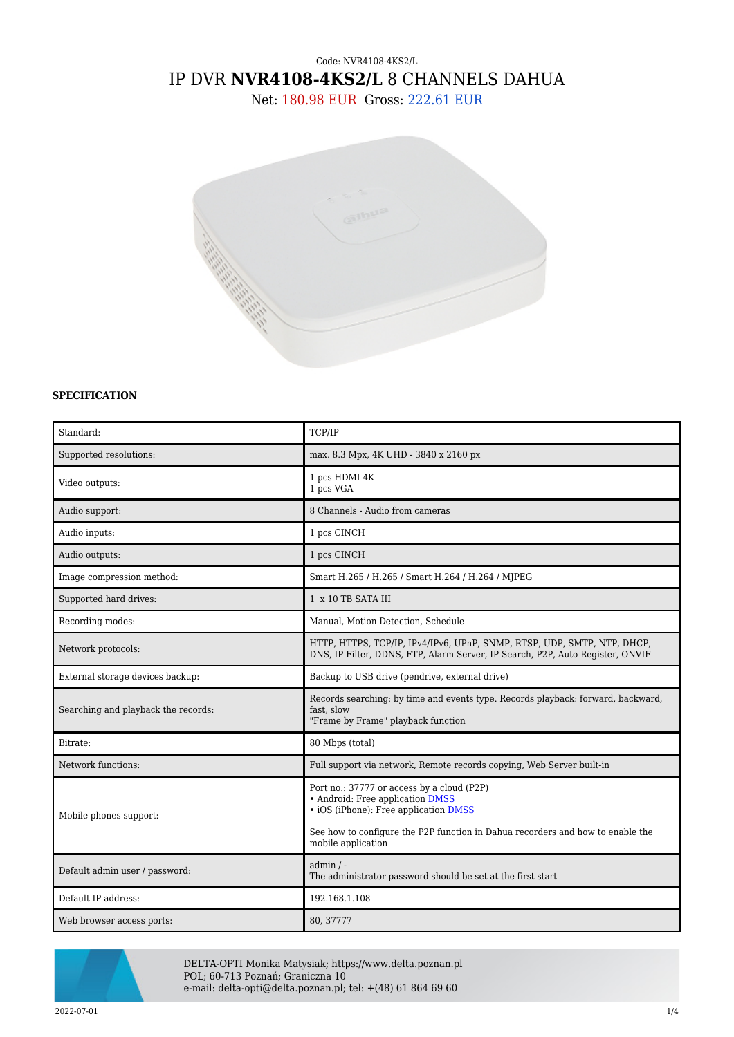# Code: NVR4108-4KS2/L IP DVR **NVR4108-4KS2/L** 8 CHANNELS DAHUA

Net: 180.98 EUR Gross: 222.61 EUR



### **SPECIFICATION**

| Standard:                           | TCP/IP                                                                                                                                                                                                                                 |  |
|-------------------------------------|----------------------------------------------------------------------------------------------------------------------------------------------------------------------------------------------------------------------------------------|--|
| Supported resolutions:              | max. 8.3 Mpx, 4K UHD - 3840 x 2160 px                                                                                                                                                                                                  |  |
| Video outputs:                      | 1 pcs HDMI 4K<br>1 pcs VGA                                                                                                                                                                                                             |  |
| Audio support:                      | 8 Channels - Audio from cameras                                                                                                                                                                                                        |  |
| Audio inputs:                       | 1 pcs CINCH                                                                                                                                                                                                                            |  |
| Audio outputs:                      | 1 pcs CINCH                                                                                                                                                                                                                            |  |
| Image compression method:           | Smart H.265 / H.265 / Smart H.264 / H.264 / MJPEG                                                                                                                                                                                      |  |
| Supported hard drives:              | 1 x 10 TB SATA III                                                                                                                                                                                                                     |  |
| Recording modes:                    | Manual, Motion Detection, Schedule                                                                                                                                                                                                     |  |
| Network protocols:                  | HTTP, HTTPS, TCP/IP, IPv4/IPv6, UPnP, SNMP, RTSP, UDP, SMTP, NTP, DHCP,<br>DNS, IP Filter, DDNS, FTP, Alarm Server, IP Search, P2P, Auto Register, ONVIF                                                                               |  |
| External storage devices backup:    | Backup to USB drive (pendrive, external drive)                                                                                                                                                                                         |  |
| Searching and playback the records: | Records searching: by time and events type. Records playback: forward, backward,<br>fast, slow<br>"Frame by Frame" playback function                                                                                                   |  |
| Bitrate:                            | 80 Mbps (total)                                                                                                                                                                                                                        |  |
| Network functions:                  | Full support via network, Remote records copying, Web Server built-in                                                                                                                                                                  |  |
| Mobile phones support:              | Port no.: 37777 or access by a cloud (P2P)<br>• Android: Free application DMSS<br>• iOS (iPhone): Free application <b>DMSS</b><br>See how to configure the P2P function in Dahua recorders and how to enable the<br>mobile application |  |
| Default admin user / password:      | $admin / -$<br>The administrator password should be set at the first start                                                                                                                                                             |  |
| Default IP address:                 | 192.168.1.108                                                                                                                                                                                                                          |  |
| Web browser access ports:           | 80, 37777                                                                                                                                                                                                                              |  |



DELTA-OPTI Monika Matysiak; https://www.delta.poznan.pl POL; 60-713 Poznań; Graniczna 10 e-mail: delta-opti@delta.poznan.pl; tel: +(48) 61 864 69 60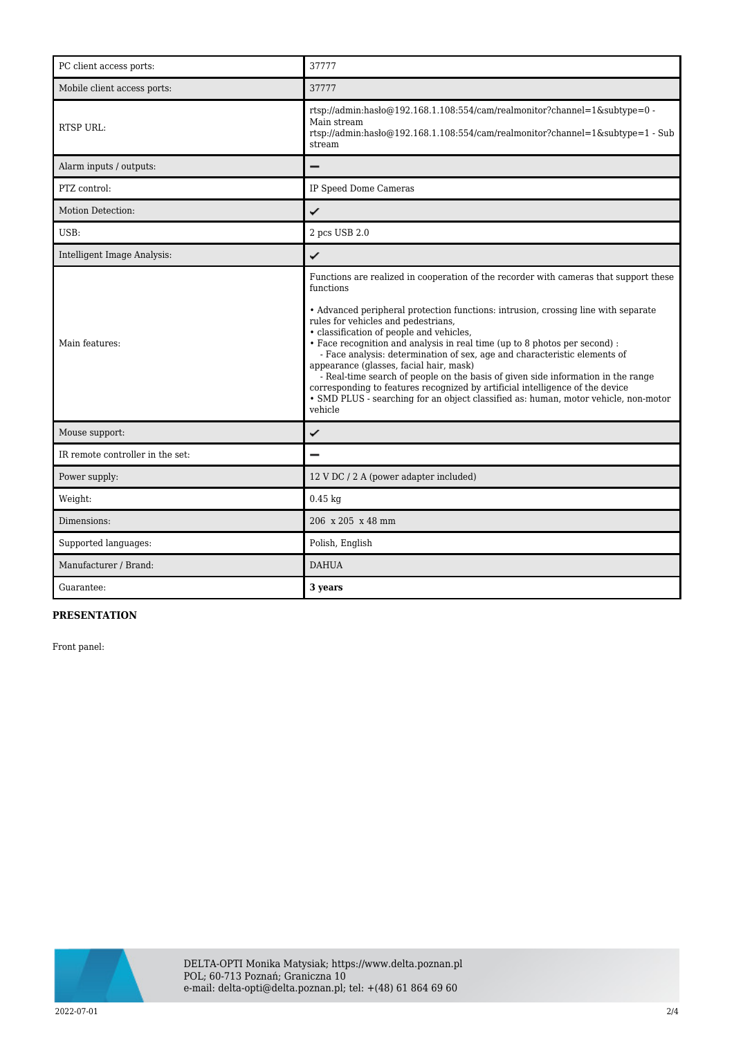| PC client access ports:          | 37777                                                                                                                                                                                                                                                                                                                                                                                                                                                                                                                                                                                                                                                                                                                                                    |  |
|----------------------------------|----------------------------------------------------------------------------------------------------------------------------------------------------------------------------------------------------------------------------------------------------------------------------------------------------------------------------------------------------------------------------------------------------------------------------------------------------------------------------------------------------------------------------------------------------------------------------------------------------------------------------------------------------------------------------------------------------------------------------------------------------------|--|
| Mobile client access ports:      | 37777                                                                                                                                                                                                                                                                                                                                                                                                                                                                                                                                                                                                                                                                                                                                                    |  |
| <b>RTSP URL:</b>                 | rtsp://admin:hasło@192.168.1.108:554/cam/realmonitor?channel=1&subtype=0 -<br>Main stream<br>rtsp://admin:hasło@192.168.1.108:554/cam/realmonitor?channel=1&subtype=1 - Sub<br>stream                                                                                                                                                                                                                                                                                                                                                                                                                                                                                                                                                                    |  |
| Alarm inputs / outputs:          |                                                                                                                                                                                                                                                                                                                                                                                                                                                                                                                                                                                                                                                                                                                                                          |  |
| PTZ control:                     | IP Speed Dome Cameras                                                                                                                                                                                                                                                                                                                                                                                                                                                                                                                                                                                                                                                                                                                                    |  |
| Motion Detection:                | ✓                                                                                                                                                                                                                                                                                                                                                                                                                                                                                                                                                                                                                                                                                                                                                        |  |
| USB:                             | 2 pcs USB 2.0                                                                                                                                                                                                                                                                                                                                                                                                                                                                                                                                                                                                                                                                                                                                            |  |
| Intelligent Image Analysis:      | ✓                                                                                                                                                                                                                                                                                                                                                                                                                                                                                                                                                                                                                                                                                                                                                        |  |
| Main features:                   | Functions are realized in cooperation of the recorder with cameras that support these<br>functions<br>• Advanced peripheral protection functions: intrusion, crossing line with separate<br>rules for vehicles and pedestrians,<br>• classification of people and vehicles,<br>• Face recognition and analysis in real time (up to 8 photos per second) :<br>- Face analysis: determination of sex, age and characteristic elements of<br>appearance (glasses, facial hair, mask)<br>- Real-time search of people on the basis of given side information in the range<br>corresponding to features recognized by artificial intelligence of the device<br>• SMD PLUS - searching for an object classified as: human, motor vehicle, non-motor<br>vehicle |  |
| Mouse support:                   | ✓                                                                                                                                                                                                                                                                                                                                                                                                                                                                                                                                                                                                                                                                                                                                                        |  |
| IR remote controller in the set: |                                                                                                                                                                                                                                                                                                                                                                                                                                                                                                                                                                                                                                                                                                                                                          |  |
| Power supply:                    | 12 V DC / 2 A (power adapter included)                                                                                                                                                                                                                                                                                                                                                                                                                                                                                                                                                                                                                                                                                                                   |  |
| Weight:                          | $0.45$ kg                                                                                                                                                                                                                                                                                                                                                                                                                                                                                                                                                                                                                                                                                                                                                |  |
| Dimensions:                      | 206 x 205 x 48 mm                                                                                                                                                                                                                                                                                                                                                                                                                                                                                                                                                                                                                                                                                                                                        |  |
| Supported languages:             | Polish, English                                                                                                                                                                                                                                                                                                                                                                                                                                                                                                                                                                                                                                                                                                                                          |  |
| Manufacturer / Brand:            | <b>DAHUA</b>                                                                                                                                                                                                                                                                                                                                                                                                                                                                                                                                                                                                                                                                                                                                             |  |
| Guarantee:                       | 3 years                                                                                                                                                                                                                                                                                                                                                                                                                                                                                                                                                                                                                                                                                                                                                  |  |

## **PRESENTATION**

Front panel:

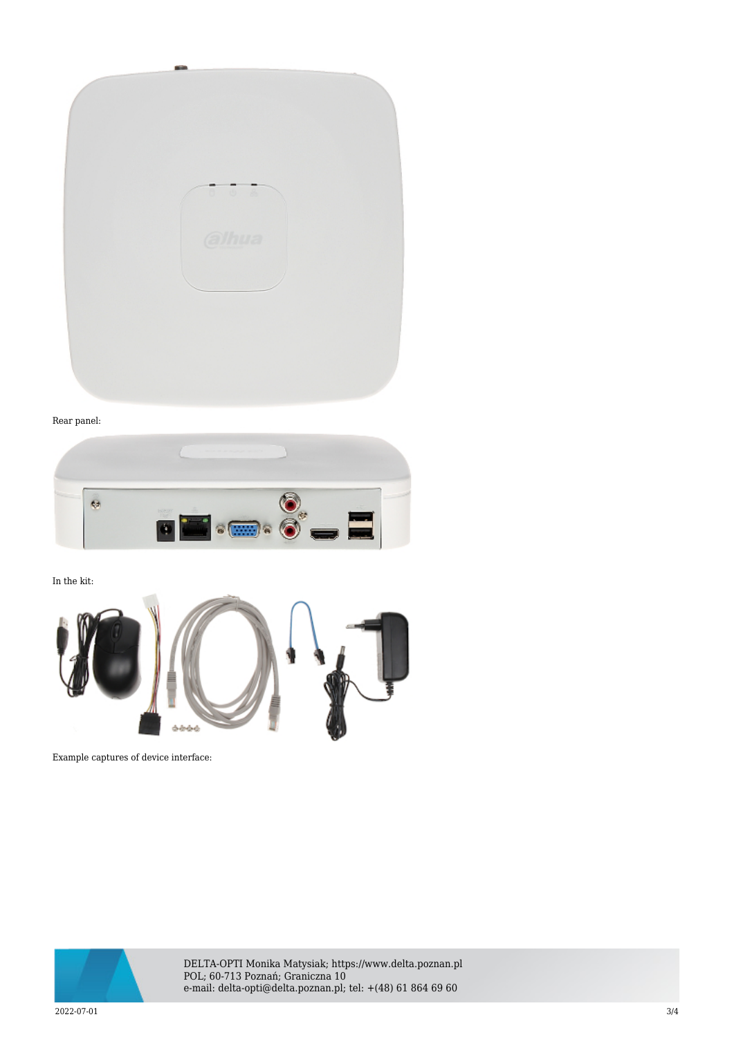

#### Rear panel:



In the kit:



Example captures of device interface:



DELTA-OPTI Monika Matysiak; https://www.delta.poznan.pl POL; 60-713 Poznań; Graniczna 10 e-mail: delta-opti@delta.poznan.pl; tel: +(48) 61 864 69 60

2022-07-01 3/4